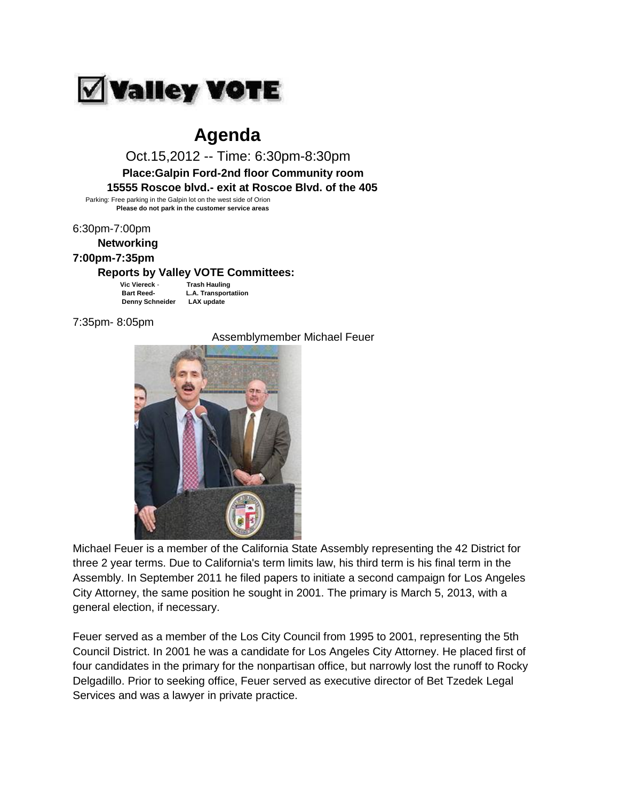

## **Agenda**

 Oct.15,2012 -- Time: 6:30pm-8:30pm  **Place:Galpin Ford-2nd floor Community room 15555 Roscoe blvd.- exit at Roscoe Blvd. of the 405**

 Parking: Free parking in the Galpin lot on the west side of Orion  **Please do not park in the customer service areas**

6:30pm-7:00pm

 **Networking**

## **7:00pm-7:35pm**

## **Reports by Valley VOTE Committees:**

 **Vic Viereck** - **Trash Hauling Bart Reed- L.A. Transportatiion Denny Schneider LAX update**

7:35pm- 8:05pm

Assemblymember Michael Feuer



Michael Feuer is a member of the California State Assembly representing the 42 District for three 2 year terms. Due to California's term limits law, his third term is his final term in the Assembly. In September 2011 he filed papers to initiate a second campaign for Los Angeles City Attorney, the same position he sought in 2001. The primary is March 5, 2013, with a general election, if necessary.

Feuer served as a member of the Los City Council from 1995 to 2001, representing the 5th Council District. In 2001 he was a candidate for Los Angeles City Attorney. He placed first of four candidates in the primary for the nonpartisan office, but narrowly lost the runoff to Rocky Delgadillo. Prior to seeking office, Feuer served as executive director of Bet Tzedek Legal Services and was a lawyer in private practice.